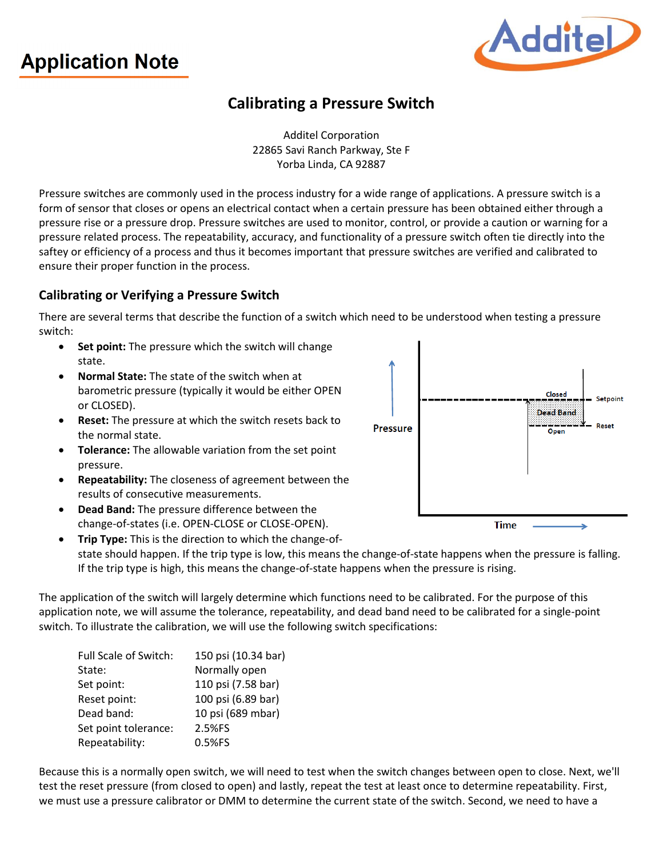# **Application Note**



## **Calibrating a Pressure Switch**

Additel Corporation 22865 Savi Ranch Parkway, Ste F Yorba Linda, CA 92887

Pressure switches are commonly used in the process industry for a wide range of applications. A pressure switch is a form of sensor that closes or opens an electrical contact when a certain pressure has been obtained either through a pressure rise or a pressure drop. Pressure switches are used to monitor, control, or provide a caution or warning for a pressure related process. The repeatability, accuracy, and functionality of a pressure switch often tie directly into the saftey or efficiency of a process and thus it becomes important that pressure switches are verified and calibrated to ensure their proper function in the process.

#### **Calibrating or Verifying a Pressure Switch**

There are several terms that describe the function of a switch which need to be understood when testing a pressure switch:

- **Set point:** The pressure which the switch will change state.
- **Normal State:** The state of the switch when at barometric pressure (typically it would be either OPEN or CLOSED).
- **Reset:** The pressure at which the switch resets back to the normal state.
- **Tolerance:** The allowable variation from the set point pressure.
- **Repeatability:** The closeness of agreement between the results of consecutive measurements.
- **Dead Band:** The pressure difference between the change-of-states (i.e. OPEN-CLOSE or CLOSE-OPEN).
- **Trip Type:** This is the direction to which the change-ofstate should happen. If the trip type is low, this means the change-of-state happens when the pressure is falling. If the trip type is high, this means the change-of-state happens when the pressure is rising.

The application of the switch will largely determine which functions need to be calibrated. For the purpose of this application note, we will assume the tolerance, repeatability, and dead band need to be calibrated for a single-point switch. To illustrate the calibration, we will use the following switch specifications:

| Full Scale of Switch: | 150 psi (10.34 bar) |
|-----------------------|---------------------|
| State:                | Normally open       |
| Set point:            | 110 psi (7.58 bar)  |
| Reset point:          | 100 psi (6.89 bar)  |
| Dead band:            | 10 psi (689 mbar)   |
| Set point tolerance:  | 2.5%FS              |
| Repeatability:        | 0.5%FS              |

Because this is a normally open switch, we will need to test when the switch changes between open to close. Next, we'll test the reset pressure (from closed to open) and lastly, repeat the test at least once to determine repeatability. First, we must use a pressure calibrator or DMM to determine the current state of the switch. Second, we need to have a

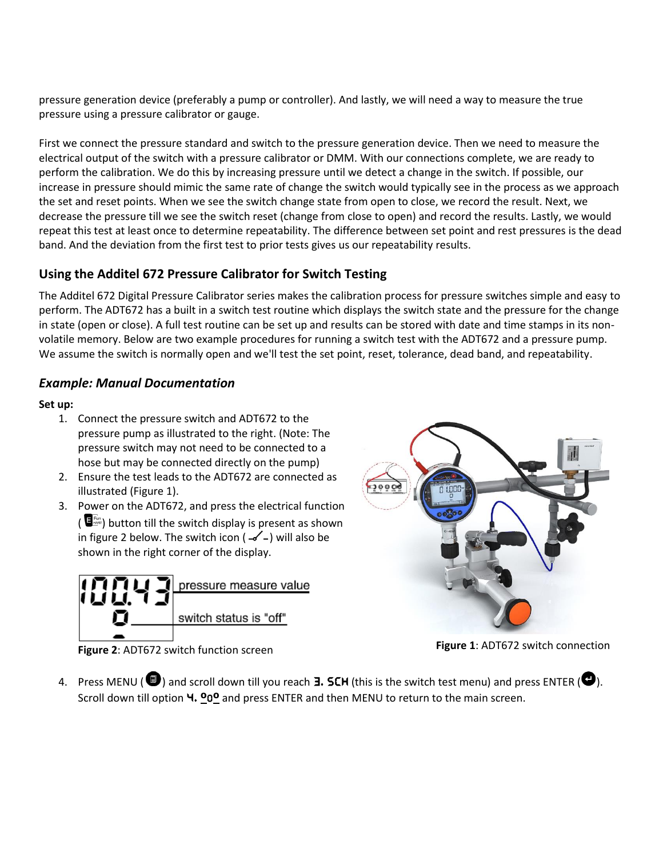pressure generation device (preferably a pump or controller). And lastly, we will need a way to measure the true pressure using a pressure calibrator or gauge.

First we connect the pressure standard and switch to the pressure generation device. Then we need to measure the electrical output of the switch with a pressure calibrator or DMM. With our connections complete, we are ready to perform the calibration. We do this by increasing pressure until we detect a change in the switch. If possible, our increase in pressure should mimic the same rate of change the switch would typically see in the process as we approach the set and reset points. When we see the switch change state from open to close, we record the result. Next, we decrease the pressure till we see the switch reset (change from close to open) and record the results. Lastly, we would repeat this test at least once to determine repeatability. The difference between set point and rest pressures is the dead band. And the deviation from the first test to prior tests gives us our repeatability results.

#### **Using the Additel 672 Pressure Calibrator for Switch Testing**

The Additel 672 Digital Pressure Calibrator series makes the calibration process for pressure switches simple and easy to perform. The ADT672 has a built in a switch test routine which displays the switch state and the pressure for the change in state (open or close). A full test routine can be set up and results can be stored with date and time stamps in its nonvolatile memory. Below are two example procedures for running a switch test with the ADT672 and a pressure pump. We assume the switch is normally open and we'll test the set point, reset, tolerance, dead band, and repeatability.

#### *Example: Manual Documentation*

#### **Set up:**

- 1. Connect the pressure switch and ADT672 to the pressure pump as illustrated to the right. (Note: The pressure switch may not need to be connected to a hose but may be connected directly on the pump)
- 2. Ensure the test leads to the ADT672 are connected as illustrated (Figure 1).
- 3. Power on the ADT672, and press the electrical function  $\left( \bigcup_{n=1}^{\infty} I_{\text{max}}^{\text{max}} \right)$  button till the switch display is present as shown in figure 2 below. The switch icon ( $-\checkmark$  -) will also be shown in the right corner of the display.





**Figure 1**: ADT672 switch connection

**Figure 2**: ADT672 switch function screen

4. Press MENU ( $\Box$ ) and scroll down till you reach **3. SCH** (this is the switch test menu) and press ENTER ( $\Box$ ). Scroll down till option **4. <sup>o</sup>o<sup>o</sup>** and press ENTER and then MENU to return to the main screen.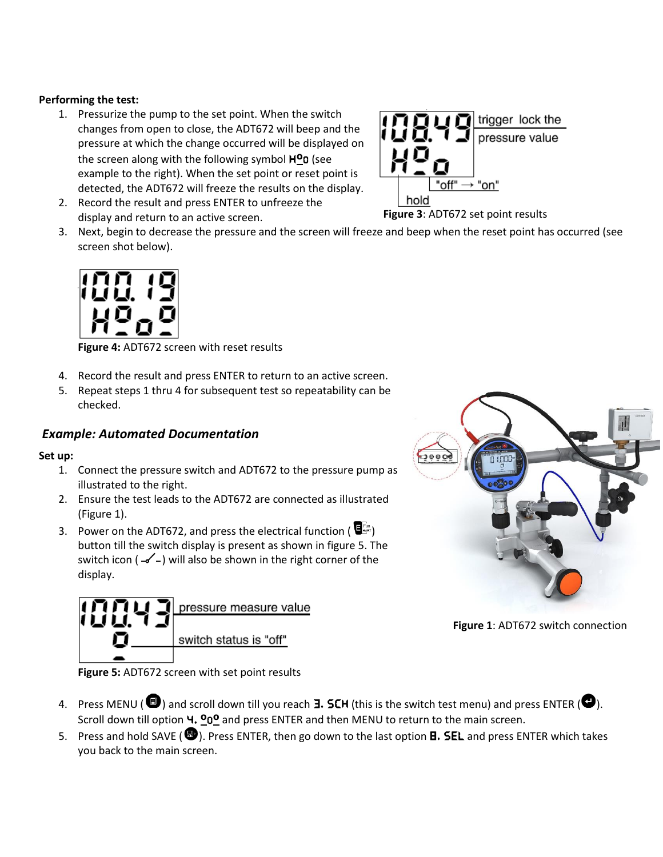#### **Performing the test:**

- 1. Pressurize the pump to the set point. When the switch changes from open to close, the ADT672 will beep and the pressure at which the change occurred will be displayed on the screen along with the following symbol H**º**O (see example to the right). When the set point or reset point is detected, the ADT672 will freeze the results on the display.
- 2. Record the result and press ENTER to unfreeze the display and return to an active screen.
- 3. Next, begin to decrease the pressure and the screen will freeze and beep when the reset point has occurred (see screen shot below).



**Figure 4:** ADT672 screen with reset results

- 4. Record the result and press ENTER to return to an active screen.
- checked.

#### *Example: Automated Documentation*

10043

#### **Set up:**

- 1. Connect the pressure switch and ADT672 to the pressure pump as illustrated to the right.
- 2. Ensure the test leads to the ADT672 are connected as illustrated (Figure 1).
- 3. Power on the ADT672, and press the electrical function ( $\overline{\mathbf{E}}_{\text{max}}^{\text{fin}}$ ) button till the switch display is present as shown in figure 5. The switch icon ( $-\$ ) will also be shown in the right corner of the display.

pressure measure value

switch status is "off"



**Figure 1**: ADT672 switch connection

**Figure 5:** ADT672 screen with set point results

- 4. Press MENU ( $\bullet$ ) and scroll down till you reach **3. SCH** (this is the switch test menu) and press ENTER ( $\bullet$ ). Scroll down till option 4. **º**O**º** and press ENTER and then MENU to return to the main screen.
- 5. Press and hold SAVE ( $\bullet$ ). Press ENTER, then go down to the last option **B. SEL** and press ENTER which takes you back to the main screen.



**Figure 3**: ADT672 set point results

- 
- 5. Repeat steps 1 thru 4 for subsequent test so repeatability can be